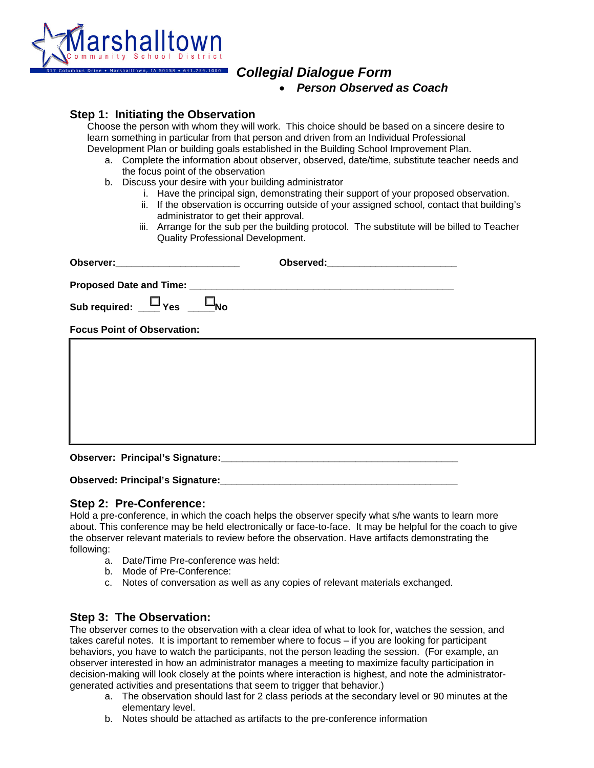

# *Collegial Dialogue Form*

• *Person Observed as Coach* 

**Step 1: Initiating the Observation**<br>Choose the person with whom they will work. This choice should be based on a sincere desire to learn something in particular from that person and driven from an Individual Professional

- Development Plan or building goals established in the Building School Improvement Plan.<br>a. Complete the information about observer, observed, date/time, substitute teacher needs and the focus point of the observation
	- b. Discuss your desire with your building administrator
		- i. Have the principal sign, demonstrating their support of your proposed observation.
		- ii. If the observation is occurring outside of your assigned school, contact that building's administrator to get their approval.
		- iii. Arrange for the sub per the building protocol. The substitute will be billed to Teacher Quality Professional Development.

| Sub required: $\Box$ Yes $\Box$ No |  |
|------------------------------------|--|
| <b>Focus Point of Observation:</b> |  |
|                                    |  |
|                                    |  |
|                                    |  |
|                                    |  |
|                                    |  |
|                                    |  |

**Observed: Principal's Signature:** 

### **Step 2: Pre-Conference:**

Hold a pre-conference, in which the coach helps the observer specify what s/he wants to learn more about. This conference may be held electronically or face-to-face. It may be helpful for the coach to give the observer relevant materials to review before the observation. Have artifacts demonstrating the following:

- a. Date/Time Pre-conference was held:
- b. Mode of Pre-Conference:
- c. Notes of conversation as well as any copies of relevant materials exchanged.

### **Step 3: The Observation:**

The observer comes to the observation with a clear idea of what to look for, watches the session, and takes careful notes. It is important to remember where to focus – if you are looking for participant behaviors, you have to watch the participants, not the person leading the session. (For example, an observer interested in how an administrator manages a meeting to maximize faculty participation in decision-making will look closely at the points where interaction is highest, and note the administratorgenerated activities and presentations that seem to trigger that behavior.)

- a. The observation should last for 2 class periods at the secondary level or 90 minutes at the elementary level.
- b. Notes should be attached as artifacts to the pre-conference information